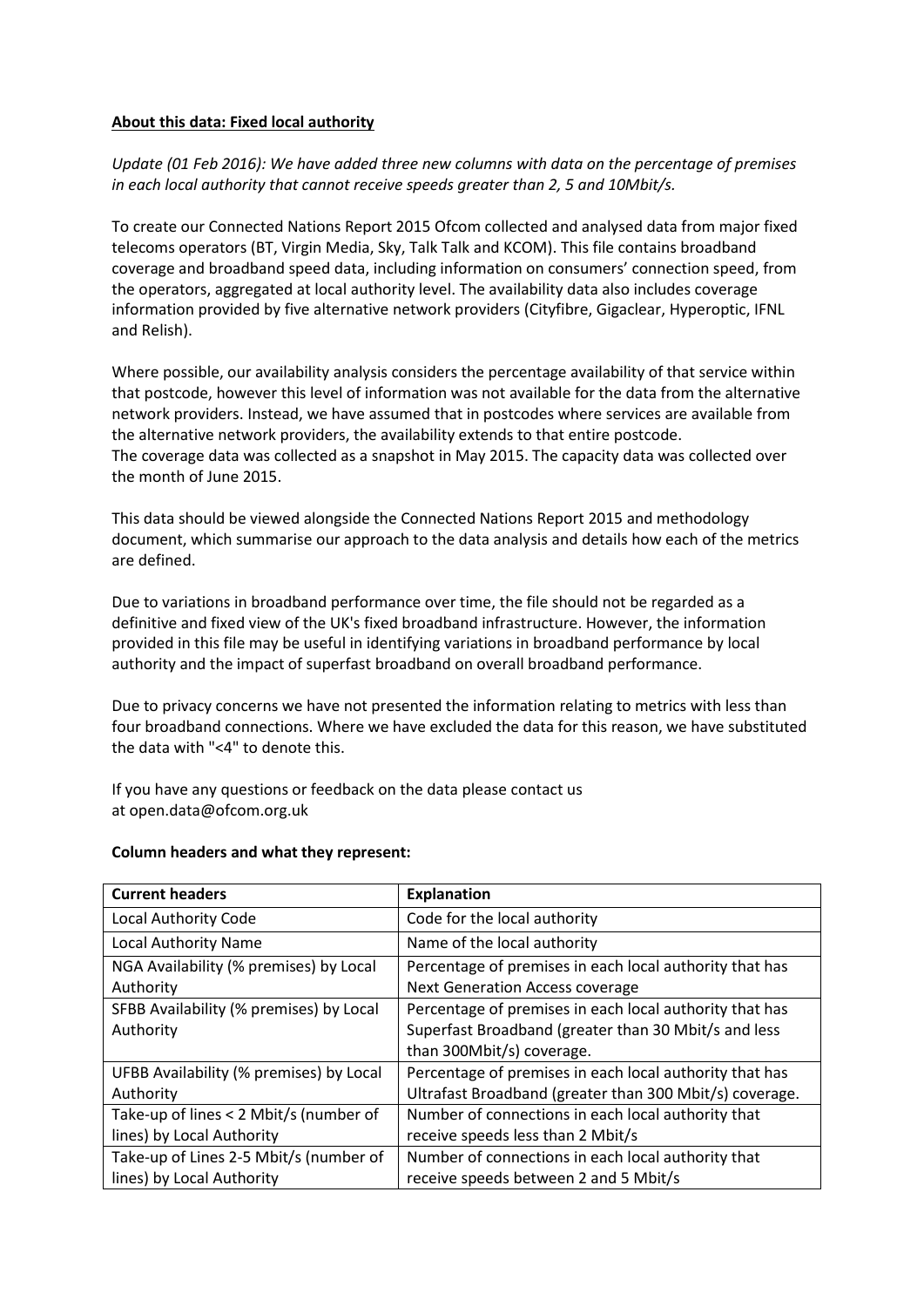## **About this data: Fixed local authority**

*Update (01 Feb 2016): We have added three new columns with data on the percentage of premises in each local authority that cannot receive speeds greater than 2, 5 and 10Mbit/s.* 

To create our Connected Nations Report 2015 Ofcom collected and analysed data from major fixed telecoms operators (BT, Virgin Media, Sky, Talk Talk and KCOM). This file contains broadband coverage and broadband speed data, including information on consumers' connection speed, from the operators, aggregated at local authority level. The availability data also includes coverage information provided by five alternative network providers (Cityfibre, Gigaclear, Hyperoptic, IFNL and Relish).

Where possible, our availability analysis considers the percentage availability of that service within that postcode, however this level of information was not available for the data from the alternative network providers. Instead, we have assumed that in postcodes where services are available from the alternative network providers, the availability extends to that entire postcode. The coverage data was collected as a snapshot in May 2015. The capacity data was collected over the month of June 2015.

This data should be viewed alongside the Connected Nations Report 2015 and methodology document, which summarise our approach to the data analysis and details how each of the metrics are defined.

Due to variations in broadband performance over time, the file should not be regarded as a definitive and fixed view of the UK's fixed broadband infrastructure. However, the information provided in this file may be useful in identifying variations in broadband performance by local authority and the impact of superfast broadband on overall broadband performance.

Due to privacy concerns we have not presented the information relating to metrics with less than four broadband connections. Where we have excluded the data for this reason, we have substituted the data with "<4" to denote this.

If you have any questions or feedback on the data please contact us at [open.data@ofcom.org.uk](mailto:opendataofcom@ofcom.org.uk)

| <b>Current headers</b>                  | <b>Explanation</b>                                      |
|-----------------------------------------|---------------------------------------------------------|
| Local Authority Code                    | Code for the local authority                            |
| <b>Local Authority Name</b>             | Name of the local authority                             |
| NGA Availability (% premises) by Local  | Percentage of premises in each local authority that has |
| Authority                               | <b>Next Generation Access coverage</b>                  |
| SFBB Availability (% premises) by Local | Percentage of premises in each local authority that has |
| Authority                               | Superfast Broadband (greater than 30 Mbit/s and less    |
|                                         | than 300Mbit/s) coverage.                               |
| UFBB Availability (% premises) by Local | Percentage of premises in each local authority that has |
| Authority                               | Ultrafast Broadband (greater than 300 Mbit/s) coverage. |
| Take-up of lines < 2 Mbit/s (number of  | Number of connections in each local authority that      |
| lines) by Local Authority               | receive speeds less than 2 Mbit/s                       |
| Take-up of Lines 2-5 Mbit/s (number of  | Number of connections in each local authority that      |
| lines) by Local Authority               | receive speeds between 2 and 5 Mbit/s                   |

## **Column headers and what they represent:**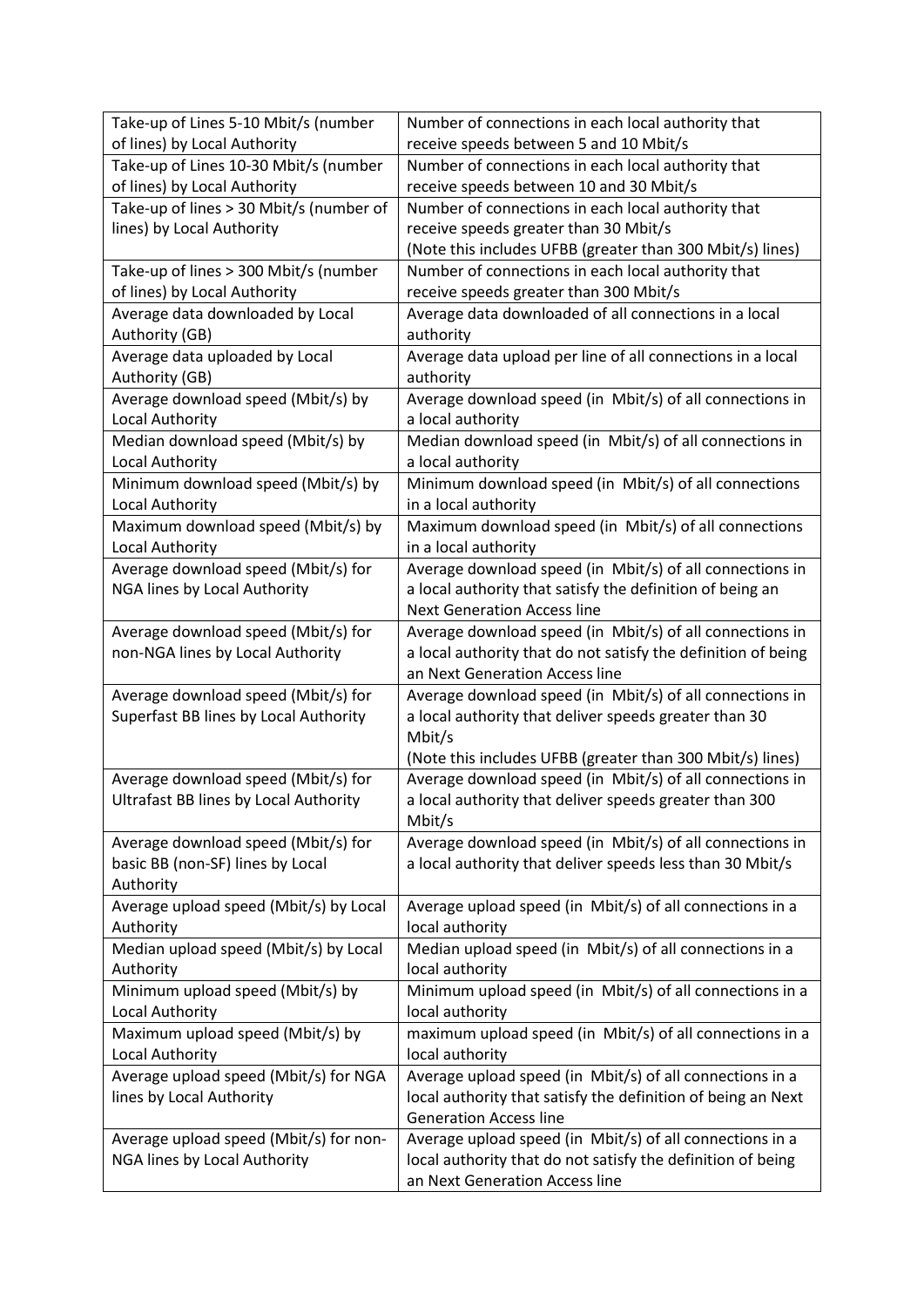| Take-up of Lines 5-10 Mbit/s (number         | Number of connections in each local authority that                                                                        |
|----------------------------------------------|---------------------------------------------------------------------------------------------------------------------------|
| of lines) by Local Authority                 | receive speeds between 5 and 10 Mbit/s                                                                                    |
| Take-up of Lines 10-30 Mbit/s (number        | Number of connections in each local authority that                                                                        |
| of lines) by Local Authority                 | receive speeds between 10 and 30 Mbit/s                                                                                   |
| Take-up of lines > 30 Mbit/s (number of      | Number of connections in each local authority that                                                                        |
| lines) by Local Authority                    | receive speeds greater than 30 Mbit/s                                                                                     |
|                                              | (Note this includes UFBB (greater than 300 Mbit/s) lines)                                                                 |
| Take-up of lines > 300 Mbit/s (number        | Number of connections in each local authority that                                                                        |
| of lines) by Local Authority                 | receive speeds greater than 300 Mbit/s                                                                                    |
| Average data downloaded by Local             | Average data downloaded of all connections in a local                                                                     |
| Authority (GB)                               | authority                                                                                                                 |
| Average data uploaded by Local               | Average data upload per line of all connections in a local                                                                |
| Authority (GB)                               | authority                                                                                                                 |
| Average download speed (Mbit/s) by           | Average download speed (in Mbit/s) of all connections in                                                                  |
| Local Authority                              | a local authority                                                                                                         |
| Median download speed (Mbit/s) by            | Median download speed (in Mbit/s) of all connections in                                                                   |
| Local Authority                              | a local authority                                                                                                         |
| Minimum download speed (Mbit/s) by           | Minimum download speed (in Mbit/s) of all connections                                                                     |
| Local Authority                              | in a local authority                                                                                                      |
| Maximum download speed (Mbit/s) by           | Maximum download speed (in Mbit/s) of all connections                                                                     |
| Local Authority                              | in a local authority                                                                                                      |
| Average download speed (Mbit/s) for          | Average download speed (in Mbit/s) of all connections in                                                                  |
| NGA lines by Local Authority                 | a local authority that satisfy the definition of being an                                                                 |
|                                              | <b>Next Generation Access line</b>                                                                                        |
| Average download speed (Mbit/s) for          | Average download speed (in Mbit/s) of all connections in<br>a local authority that do not satisfy the definition of being |
| non-NGA lines by Local Authority             | an Next Generation Access line                                                                                            |
| Average download speed (Mbit/s) for          | Average download speed (in Mbit/s) of all connections in                                                                  |
| Superfast BB lines by Local Authority        | a local authority that deliver speeds greater than 30                                                                     |
|                                              | Mbit/s                                                                                                                    |
|                                              | (Note this includes UFBB (greater than 300 Mbit/s) lines)                                                                 |
| Average download speed (Mbit/s) for          | Average download speed (in Mbit/s) of all connections in                                                                  |
| <b>Ultrafast BB lines by Local Authority</b> | a local authority that deliver speeds greater than 300                                                                    |
|                                              | Mbit/s                                                                                                                    |
| Average download speed (Mbit/s) for          | Average download speed (in Mbit/s) of all connections in                                                                  |
| basic BB (non-SF) lines by Local             | a local authority that deliver speeds less than 30 Mbit/s                                                                 |
| Authority                                    |                                                                                                                           |
| Average upload speed (Mbit/s) by Local       | Average upload speed (in Mbit/s) of all connections in a                                                                  |
| Authority                                    | local authority                                                                                                           |
| Median upload speed (Mbit/s) by Local        | Median upload speed (in Mbit/s) of all connections in a                                                                   |
| Authority                                    | local authority                                                                                                           |
| Minimum upload speed (Mbit/s) by             | Minimum upload speed (in Mbit/s) of all connections in a                                                                  |
| Local Authority                              | local authority                                                                                                           |
| Maximum upload speed (Mbit/s) by             | maximum upload speed (in Mbit/s) of all connections in a                                                                  |
| Local Authority                              | local authority                                                                                                           |
| Average upload speed (Mbit/s) for NGA        | Average upload speed (in Mbit/s) of all connections in a                                                                  |
| lines by Local Authority                     | local authority that satisfy the definition of being an Next                                                              |
|                                              | <b>Generation Access line</b>                                                                                             |
| Average upload speed (Mbit/s) for non-       | Average upload speed (in Mbit/s) of all connections in a                                                                  |
| NGA lines by Local Authority                 | local authority that do not satisfy the definition of being                                                               |
|                                              | an Next Generation Access line                                                                                            |